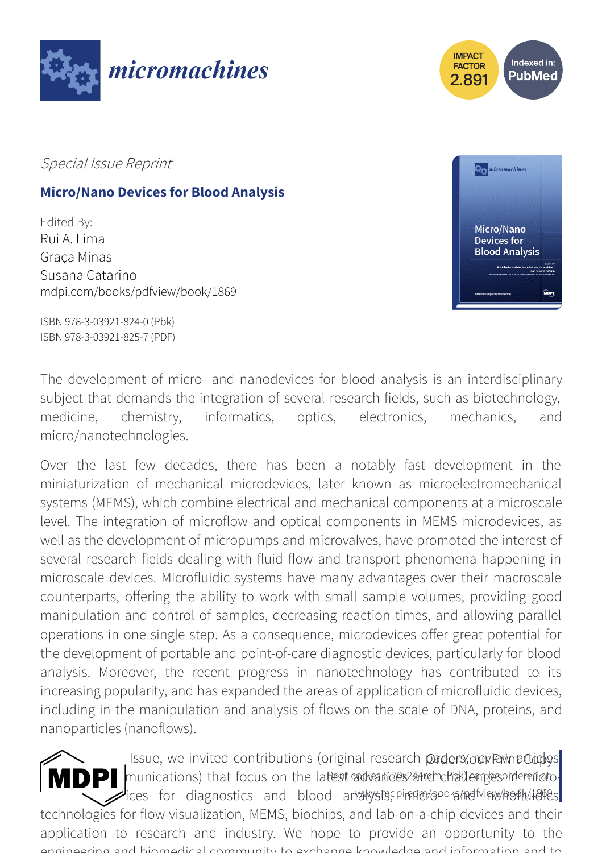



Special Issue Reprint

# **Micro/Nano Devices for Blood Analysis**

Edited By: Rui A. Lima Graça Minas Susana Catarino mdpi.com/books/pdfview/book/1869



ISBN 978-3-03921-824-0 (Pbk) ISBN 978-3-03921-825-7 (PDF)

The development of micro- and nanodevices for blood analysis is an interdisciplinary subject that demands the integration of several research fields, such as biotechnology, medicine, chemistry, informatics, optics, electronics, mechanics, and micro/nanotechnologies.

Over the last few decades, there has been a notably fast development in the miniaturization of mechanical microdevices, later known as microelectromechanical systems (MEMS), which combine electrical and mechanical components at a microscale level. The integration of microflow and optical components in MEMS microdevices, as well as the development of micropumps and microvalves, have promoted the interest of several research fields dealing with fluid flow and transport phenomena happening in microscale devices. Microfluidic systems have many advantages over their macroscale counterparts, offering the ability to work with small sample volumes, providing good manipulation and control of samples, decreasing reaction times, and allowing parallel operations in one single step. As a consequence, microdevices offer great potential for the development of portable and point-of-care diagnostic devices, particularly for blood analysis. Moreover, the recent progress in nanotechnology has contributed to its increasing popularity, and has expanded the areas of application of microfluidic devices, including in the manipulation and analysis of flows on the scale of DNA, proteins, and nanoparticles (nanoflows).

In this Issue, we invited contributions (original research papers, our Perint Copys) **NDP** munications) that focus on the latest advantes and nchallenges ordered at order ices for diagnostics and blood analysis, in mark books had wine wheel had been technologies for flow visualization, MEMS, biochips, and lab-on-a-chip devices and their application to research and industry. We hope to provide an opportunity to the engineering and biomedical community to exchange knowledge and information and to